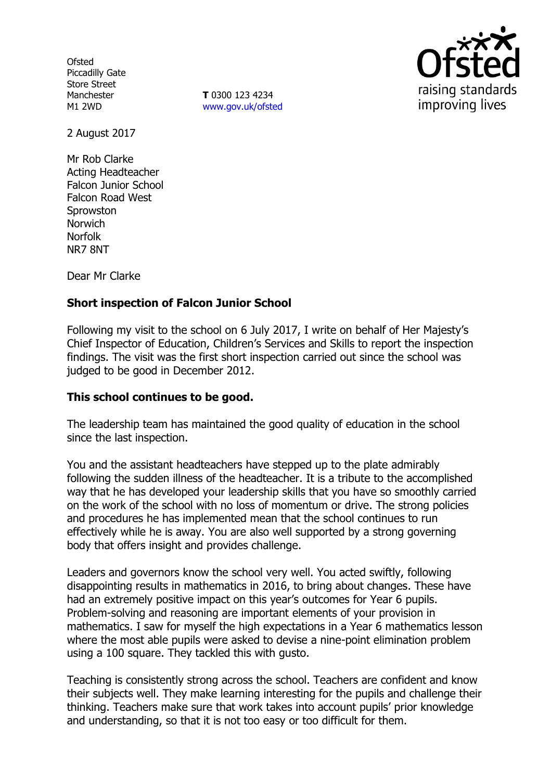**Ofsted** Piccadilly Gate Store Street Manchester M1 2WD

**T** 0300 123 4234 www.gov.uk/ofsted



2 August 2017

Mr Rob Clarke Acting Headteacher Falcon Junior School Falcon Road West **Sprowston** Norwich Norfolk NR7 8NT

Dear Mr Clarke

# **Short inspection of Falcon Junior School**

Following my visit to the school on 6 July 2017, I write on behalf of Her Majesty's Chief Inspector of Education, Children's Services and Skills to report the inspection findings. The visit was the first short inspection carried out since the school was judged to be good in December 2012.

### **This school continues to be good.**

The leadership team has maintained the good quality of education in the school since the last inspection.

You and the assistant headteachers have stepped up to the plate admirably following the sudden illness of the headteacher. It is a tribute to the accomplished way that he has developed your leadership skills that you have so smoothly carried on the work of the school with no loss of momentum or drive. The strong policies and procedures he has implemented mean that the school continues to run effectively while he is away. You are also well supported by a strong governing body that offers insight and provides challenge.

Leaders and governors know the school very well. You acted swiftly, following disappointing results in mathematics in 2016, to bring about changes. These have had an extremely positive impact on this year's outcomes for Year 6 pupils. Problem-solving and reasoning are important elements of your provision in mathematics. I saw for myself the high expectations in a Year 6 mathematics lesson where the most able pupils were asked to devise a nine-point elimination problem using a 100 square. They tackled this with gusto.

Teaching is consistently strong across the school. Teachers are confident and know their subjects well. They make learning interesting for the pupils and challenge their thinking. Teachers make sure that work takes into account pupils' prior knowledge and understanding, so that it is not too easy or too difficult for them.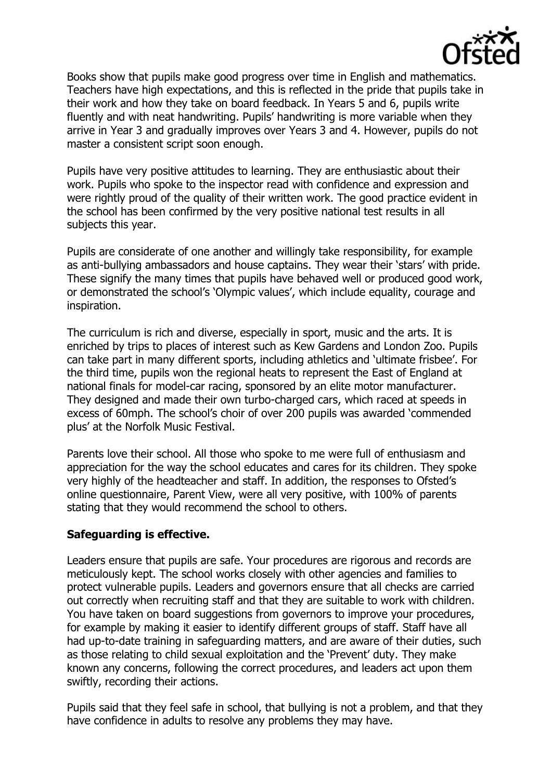

Books show that pupils make good progress over time in English and mathematics. Teachers have high expectations, and this is reflected in the pride that pupils take in their work and how they take on board feedback. In Years 5 and 6, pupils write fluently and with neat handwriting. Pupils' handwriting is more variable when they arrive in Year 3 and gradually improves over Years 3 and 4. However, pupils do not master a consistent script soon enough.

Pupils have very positive attitudes to learning. They are enthusiastic about their work. Pupils who spoke to the inspector read with confidence and expression and were rightly proud of the quality of their written work. The good practice evident in the school has been confirmed by the very positive national test results in all subjects this year.

Pupils are considerate of one another and willingly take responsibility, for example as anti-bullying ambassadors and house captains. They wear their 'stars' with pride. These signify the many times that pupils have behaved well or produced good work, or demonstrated the school's 'Olympic values', which include equality, courage and inspiration.

The curriculum is rich and diverse, especially in sport, music and the arts. It is enriched by trips to places of interest such as Kew Gardens and London Zoo. Pupils can take part in many different sports, including athletics and 'ultimate frisbee'. For the third time, pupils won the regional heats to represent the East of England at national finals for model-car racing, sponsored by an elite motor manufacturer. They designed and made their own turbo-charged cars, which raced at speeds in excess of 60mph. The school's choir of over 200 pupils was awarded 'commended plus' at the Norfolk Music Festival.

Parents love their school. All those who spoke to me were full of enthusiasm and appreciation for the way the school educates and cares for its children. They spoke very highly of the headteacher and staff. In addition, the responses to Ofsted's online questionnaire, Parent View, were all very positive, with 100% of parents stating that they would recommend the school to others.

### **Safeguarding is effective.**

Leaders ensure that pupils are safe. Your procedures are rigorous and records are meticulously kept. The school works closely with other agencies and families to protect vulnerable pupils. Leaders and governors ensure that all checks are carried out correctly when recruiting staff and that they are suitable to work with children. You have taken on board suggestions from governors to improve your procedures, for example by making it easier to identify different groups of staff. Staff have all had up-to-date training in safeguarding matters, and are aware of their duties, such as those relating to child sexual exploitation and the 'Prevent' duty. They make known any concerns, following the correct procedures, and leaders act upon them swiftly, recording their actions.

Pupils said that they feel safe in school, that bullying is not a problem, and that they have confidence in adults to resolve any problems they may have.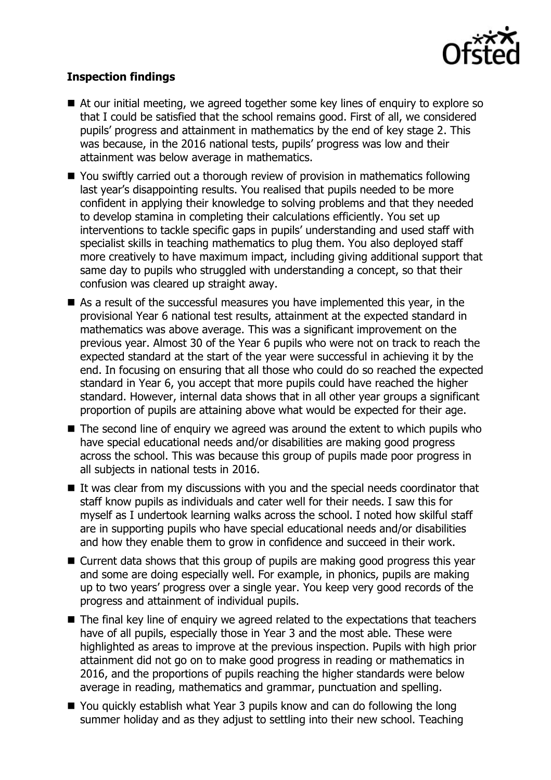

## **Inspection findings**

- At our initial meeting, we agreed together some key lines of enguiry to explore so that I could be satisfied that the school remains good. First of all, we considered pupils' progress and attainment in mathematics by the end of key stage 2. This was because, in the 2016 national tests, pupils' progress was low and their attainment was below average in mathematics.
- You swiftly carried out a thorough review of provision in mathematics following last year's disappointing results. You realised that pupils needed to be more confident in applying their knowledge to solving problems and that they needed to develop stamina in completing their calculations efficiently. You set up interventions to tackle specific gaps in pupils' understanding and used staff with specialist skills in teaching mathematics to plug them. You also deployed staff more creatively to have maximum impact, including giving additional support that same day to pupils who struggled with understanding a concept, so that their confusion was cleared up straight away.
- As a result of the successful measures you have implemented this year, in the provisional Year 6 national test results, attainment at the expected standard in mathematics was above average. This was a significant improvement on the previous year. Almost 30 of the Year 6 pupils who were not on track to reach the expected standard at the start of the year were successful in achieving it by the end. In focusing on ensuring that all those who could do so reached the expected standard in Year 6, you accept that more pupils could have reached the higher standard. However, internal data shows that in all other year groups a significant proportion of pupils are attaining above what would be expected for their age.
- $\blacksquare$  The second line of enguiry we agreed was around the extent to which pupils who have special educational needs and/or disabilities are making good progress across the school. This was because this group of pupils made poor progress in all subjects in national tests in 2016.
- $\blacksquare$  It was clear from my discussions with you and the special needs coordinator that staff know pupils as individuals and cater well for their needs. I saw this for myself as I undertook learning walks across the school. I noted how skilful staff are in supporting pupils who have special educational needs and/or disabilities and how they enable them to grow in confidence and succeed in their work.
- Current data shows that this group of pupils are making good progress this year and some are doing especially well. For example, in phonics, pupils are making up to two years' progress over a single year. You keep very good records of the progress and attainment of individual pupils.
- The final key line of enquiry we agreed related to the expectations that teachers have of all pupils, especially those in Year 3 and the most able. These were highlighted as areas to improve at the previous inspection. Pupils with high prior attainment did not go on to make good progress in reading or mathematics in 2016, and the proportions of pupils reaching the higher standards were below average in reading, mathematics and grammar, punctuation and spelling.
- You quickly establish what Year 3 pupils know and can do following the long summer holiday and as they adjust to settling into their new school. Teaching